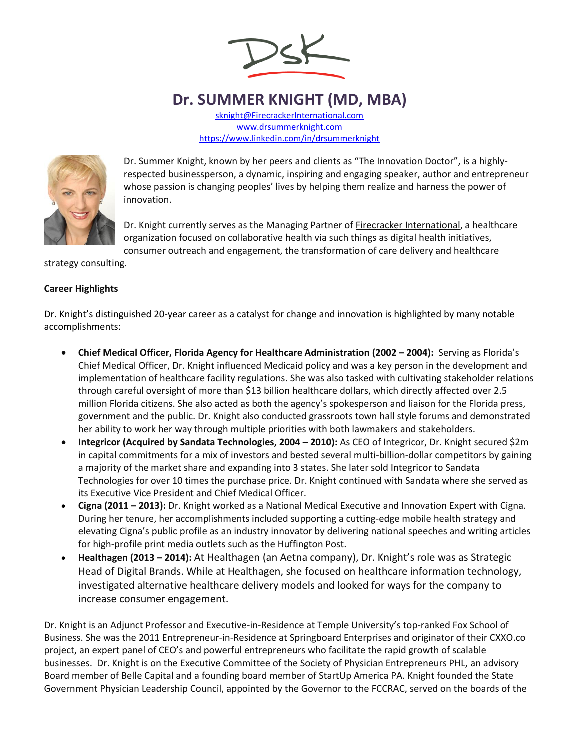

## **Dr. SUMMER KNIGHT (MD, MBA)**

[sknight@FirecrackerInternational.com](mailto:sknight@FirecrackerInternational.com) [www.drsummerknight.com](https://www.linkedin.com/in/drsummerknight) <https://www.linkedin.com/in/drsummerknight>



Dr. Summer Knight, known by her peers and clients as "The Innovation Doctor", is a highlyrespected businessperson, a dynamic, inspiring and engaging speaker, author and entrepreneur whose passion is changing peoples' lives by helping them realize and harness the power of innovation.

Dr. Knight currently serves as the Managing Partner o[f Firecracker International,](http://firecrackerinternational.com/) a healthcare organization focused on collaborative health via such things as digital health initiatives, consumer outreach and engagement, the transformation of care delivery and healthcare

strategy consulting.

## **Career Highlights**

Dr. Knight's distinguished 20-year career as a catalyst for change and innovation is highlighted by many notable accomplishments:

- **Chief Medical Officer, Florida Agency for Healthcare Administration (2002 – 2004):** Serving as Florida's Chief Medical Officer, Dr. Knight influenced Medicaid policy and was a key person in the development and implementation of healthcare facility regulations. She was also tasked with cultivating stakeholder relations through careful oversight of more than \$13 billion healthcare dollars, which directly affected over 2.5 million Florida citizens. She also acted as both the agency's spokesperson and liaison for the Florida press, government and the public. Dr. Knight also conducted grassroots town hall style forums and demonstrated her ability to work her way through multiple priorities with both lawmakers and stakeholders.
- **Integricor (Acquired by Sandata Technologies, 2004 2010): As CEO of Integricor, Dr. Knight secured \$2m** in capital commitments for a mix of investors and bested several multi-billion-dollar competitors by gaining a majority of the market share and expanding into 3 states. She later sold Integricor to Sandata Technologies for over 10 times the purchase price. Dr. Knight continued with Sandata where she served as its Executive Vice President and Chief Medical Officer.
- **Cigna (2011 – 2013):** Dr. Knight worked as a National Medical Executive and Innovation Expert with Cigna. During her tenure, her accomplishments included supporting a cutting-edge mobile health strategy and elevating Cigna's public profile as an industry innovator by delivering national speeches and writing articles for high-profile print media outlets such as the Huffington Post.
- **Healthagen (2013 – 2014):** At Healthagen (an Aetna company), Dr. Knight's role was as Strategic Head of Digital Brands. While at Healthagen, she focused on healthcare information technology, investigated alternative healthcare delivery models and looked for ways for the company to increase consumer engagement.

Dr. Knight is an Adjunct Professor and Executive-in-Residence at Temple University's top-ranked Fox School of Business. She was the 2011 Entrepreneur-in-Residence at Springboard Enterprises and originator of their CXXO.co project, an expert panel of CEO's and powerful entrepreneurs who facilitate the rapid growth of scalable businesses. Dr. Knight is on the Executive Committee of the Society of Physician Entrepreneurs PHL, an advisory Board member of Belle Capital and a founding board member of StartUp America PA. Knight founded the State Government Physician Leadership Council, appointed by the Governor to the FCCRAC, served on the boards of the